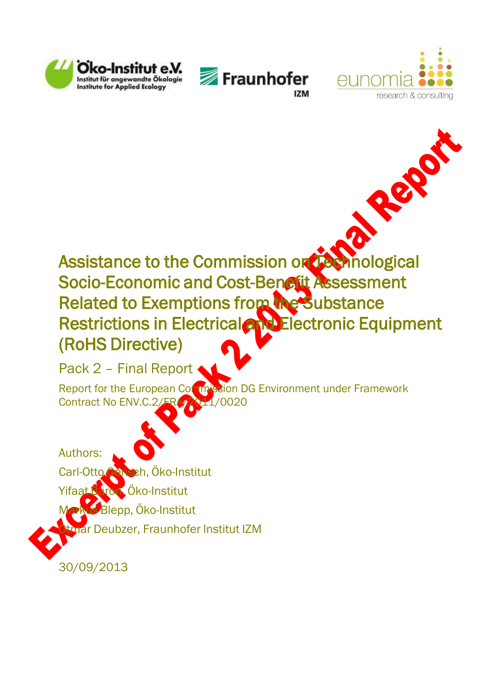





Rep

# Assistance to the Commission on Technological Socio-Economic and Cost-Benefit Assessment Related to Exemptions from the Substance Restrictions in Electrical and Electronic Equipment (RoHS Directive)

Pack 2 - Final Report

Report for the European Commission DG Environment under Framework Contract No ENV.C.2/FRA/2011/0020

Authors: Carl-Otto Gensch, Öko-Institut Yifaat Baron, Oko-Institut  $\mathbf B$ Blepp, Öko-Institut rar Deubzer, Fraunhofer Institut IZM

30/09/2013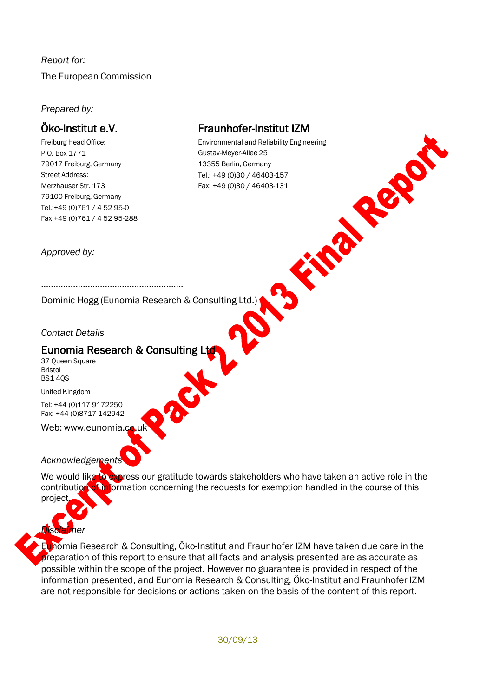# *Report for:* The European Commission

### *Prepared by:*

# Öko-Institut e.V.

Freiburg Head Office: P.O. Box 1771 79017 Freiburg, Germany Street Address: Merzhauser Str. 173 79100 Freiburg, Germany Tel.:+49 (0)761 / 4 52 95-0 Fax +49 (0)761 / 4 52 95-288

# Fraunhofer-Institut IZM

Environmental and Reliability Engineering Gustav-Meyer-Allee 25 Find Road 13355 Berlin, Germany Tel.: +49 (0)30 / 46403-157 Fax: +49 (0)30 / 46403-131

*Approved by:*

Dominic Hogg (Eunomia Research & Consulting Ltd.)

### *Contact Details*

# Eunomia Research & Consulting Ltd

………………………………………………….

37 Queen Square Bristol BS1 4QS

United Kingdom

*Disclaimer*

Tel: +44 (0)117 9172250 Fax: +44 (0)8717 142942

Web: [www.eunomia.co.uk](http://www.eunomia.co.uk/)

## *Acknowledgements*

We would like to express our gratitude towards stakeholders who have taken an active role in the contribution of information concerning the requests for exemption handled in the course of this project

Eunomia Research & Consulting, Öko-Institut and Fraunhofer IZM have taken due care in the preparation of this report to ensure that all facts and analysis presented are as accurate as possible within the scope of the project. However no guarantee is provided in respect of the information presented, and Eunomia Research & Consulting, Öko-Institut and Fraunhofer IZM are not responsible for decisions or actions taken on the basis of the content of this report.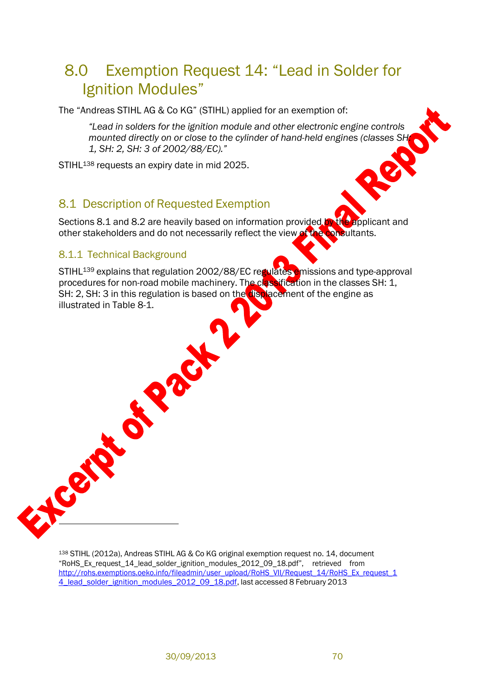# 8.0 Exemption Request 14: "Lead in Solder for Ignition Modules"

The "Andreas STIHL AG & Co KG" (STIHL) applied for an exemption of:

*"Lead in solders for the ignition module and other electronic engine controls mounted directly on or close to the cylinder of hand-held engines (classes SH: 1, SH: 2, SH: 3 of 2002/88/EC)."*

STIHL<sup>138</sup> requests an expiry date in mid 2025.

# <span id="page-2-0"></span>8.1 Description of Requested Exemption

**SISTER OF** 

Sections [8.1](#page-2-0) and [8.2](#page-8-0) are heavily based on information provided by the applicant and other stakeholders and do not necessarily reflect the view of the consultants.

### 8.1.1 Technical Background

EXPERTS

STIHL<sup>139</sup> explains that regulation 2002/88/EC regulates emissions and type-approval procedures for non-road mobile machinery. The classification in the classes SH: 1, SH: 2, SH: 3 in this regulation is based on the displacement of the engine as illustrated in [Table](#page-3-0) 8-1.

<sup>138</sup> STIHL (2012a), Andreas STIHL AG & Co KG original exemption request no. 14, document "RoHS\_Ex\_request\_14\_lead\_solder\_ignition\_modules\_2012\_09\_18.pdf", retrieved from http://rohs.exemptions.oeko.info/fileadmin/user\_upload/RoHS\_VII/Request\_14/RoHS\_Ex\_request\_1 [4\\_lead\\_solder\\_ignition\\_modules\\_2012\\_09\\_18.pdf,](http://rohs.exemptions.oeko.info/fileadmin/user_upload/RoHS_VII/Request_14/RoHS_Ex_request_14_lead_solder_ignition_modules_2012_09_18.pdf) last accessed 8 February 2013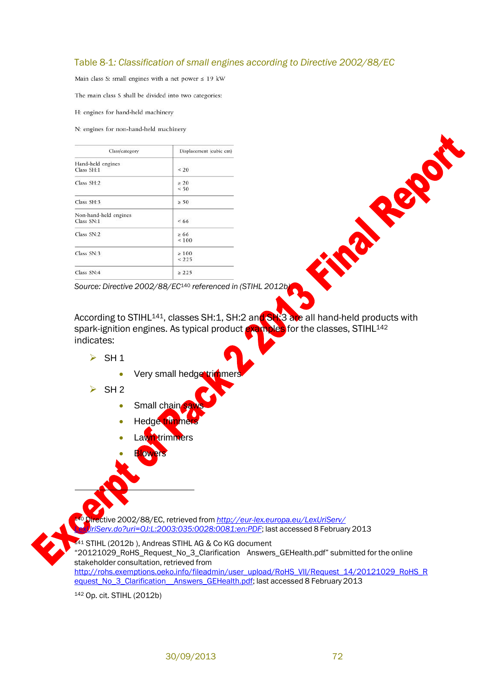### <span id="page-3-0"></span>Table 8-1*: Classification of small engines according to Directive 2002/88/EC*

Main class S: small engines with a net power  $\leq 19$  kW

The main class S shall be divided into two categories:

H: engines for hand-held machinery

N: engines for non-hand-held machinery

| Class/category                      | Displacement (cubic cm)<br>< 20 |  |  |
|-------------------------------------|---------------------------------|--|--|
| Hand-held engines<br>Class SH:1     |                                 |  |  |
| Class SH:2                          | $\geq 20$<br>< 50               |  |  |
| Class SH:3                          | $\geq 50$                       |  |  |
| Non-hand-held engines<br>Class SN:1 | <66                             |  |  |
| Class SN:2                          | $\geq 66$<br>${}_{<100}$        |  |  |
| Class SN:3                          | $\geq 100$<br>< 225             |  |  |
| Class SN:4                          | > 225                           |  |  |

*Source: Directive 2002/88/EC*<sup>140</sup> *referenced in (STIHL 2012b)*

According to STIHL<sup>141</sup>, classes SH:1, SH:2 and SH:3 are all hand-held products with spark-ignition engines. As typical product examples for the classes, STIHL<sup>142</sup> indicates:

- $\triangleright$  SH 1
	- Very small hedge trimmer
- $\triangleright$  SH 2
	- Small chain
	- Hedge trimme
	- Lawn trimmers
	- **Blowers**

<sup>140</sup> Directive 2002/88/EC, retrieved from *[http://eur-lex.europa.eu/LexUriServ/](http://eur-lex.europa.eu/LexUriServ/%0bLexUriServ.do?uri=OJ%3AL%3A2003%3A035%3A0028%3A0081%3Aen%3APDF)  [LexUriServ.do?uri=OJ:L:2003:035:0028:0081:en:PDF](http://eur-lex.europa.eu/LexUriServ/%0bLexUriServ.do?uri=OJ%3AL%3A2003%3A035%3A0028%3A0081%3Aen%3APDF)*; last accessed 8 February 2013

141 STIHL (2012b), Andreas STIHL AG & Co KG document "20121029\_RoHS\_Request\_No\_3\_Clarification Answers\_GEHealth.pdf" submitted for the online stakeholder consultation, retrieved from http://rohs.exemptions.oeko.info/fileadmin/user\_upload/RoHS\_VII/Request\_14/20121029\_RoHS\_R [equest\\_No\\_3\\_Clarification\\_\\_Answers\\_GEHealth.pdf;](http://rohs.exemptions.oeko.info/fileadmin/user_upload/RoHS_VII/Request_14/20121029_RoHS_Request_No_3_Clarification__Answers_GEHealth.pdf) last accessed 8 February 2013

<sup>142</sup> Op. cit. STIHL (2012b)

Final Report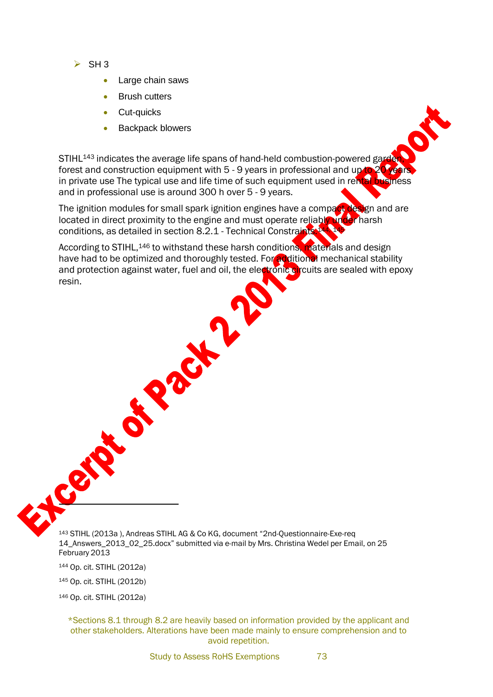- $\triangleright$  SH 3
	- Large chain saws
	- Brush cutters
	- Cut-quicks
	- Backpack blowers

STIHL<sup>143</sup> indicates the average life spans of hand-held combustion-powered garde forest and construction equipment with  $5 - 9$  years in professional and up to  $20$ in private use The typical use and life time of such equipment used in rental business and in professional use is around 300 h over 5 - 9 years.

The ignition modules for small spark ignition engines have a compact design and are located in direct proximity to the engine and must operate reliably under harsh conditions, as detailed in section [8.2.1](#page-8-1) - Technical [Constraints.](#page-8-2) 144, 145

According to STIHL,<sup>146</sup> to withstand these harsh conditions, materials and design have had to be optimized and thoroughly tested. For additional mechanical stability and protection against water, fuel and oil, the electronic circuits are sealed with epoxy resin.

CR

<sup>143</sup> STIHL (2013a ), Andreas STIHL AG & Co KG, document "2nd-Questionnaire-Exe-req 14\_Answers\_2013\_02\_25.docx" submitted via e-mail by Mrs. Christina Wedel per Email, on 25 February 2013

Creating

<sup>144</sup> Op. cit. STIHL (2012a)

<sup>145</sup> Op. cit. STIHL (2012b)

<sup>146</sup> Op. cit. STIHL (2012a)

\*Sections 8.1 through 8.2 are heavily based on information provided by the applicant and other stakeholders. Alterations have been made mainly to ensure comprehension and to avoid repetition.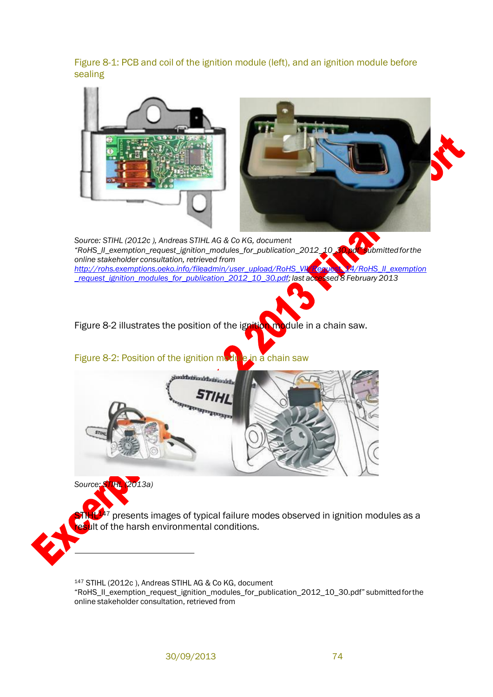Figure 8-1: PCB and coil of the ignition module (left), and an ignition module before sealing

<span id="page-5-0"></span>

<sup>147</sup> STIHL (2012c ), Andreas STIHL AG & Co KG, document "RoHS\_II\_exemption\_request\_ignition\_modules\_for\_publication\_2012\_10\_30.pdf" submittedforthe online stakeholder consultation, retrieved from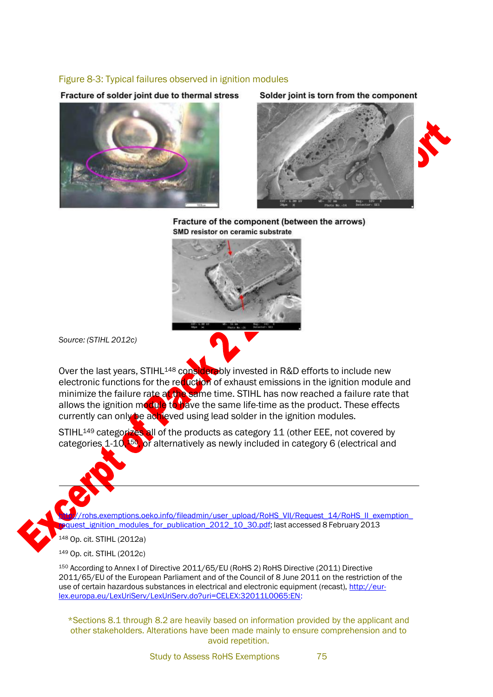#### Figure 8-3: Typical failures observed in ignition modules

Fracture of solder joint due to thermal stress



Solder joint is torn from the component



Fracture of the component (between the arrows) SMD resistor on ceramic substrate



*Source: (STIHL 2012c)*

Over the last years, STIHL<sup>148</sup> considerably invested in R&D efforts to include new electronic functions for the reduction of exhaust emissions in the ignition module and minimize the failure rate a<mark>t the</mark> same time. STIHL has now reached a failure rate that allows the ignition module to have the same life-time as the product. These effects currently can only be achieved using lead solder in the ignition modules.

STIHL<sup>149</sup> categorizes all of the products as category 11 (other EEE, not covered by categories 1-10,<sup>150</sup>, or alternatively as newly included in category 6 (electrical and

rohs.exemptions.oeko.info/fileadmin/user\_upload/RoHS\_VII/Request\_14/RoHS\_II\_exemption\_ quest\_ignition\_modules\_for\_publication\_2012\_10\_30.pdf; last accessed 8 February 2013

<sup>148</sup> Op. cit. STIHL (2012a)

<sup>149</sup> Op. cit. STIHL (2012c)

<sup>150</sup> According to Annex I of Directive 2011/65/EU (RoHS 2) RoHS Directive (2011) Directive 2011/65/EU of the European Parliament and of the Council of 8 June 2011 on the restriction of the use of certain hazardous substances in electrical and electronic equipment (recast), [http://eur](http://eur-lex.europa.eu/LexUriServ/LexUriServ.do?uri=CELEX%3A32011L0065%3AEN)[lex.europa.eu/LexUriServ/LexUriServ.do?uri=CELEX:32011L0065:EN:](http://eur-lex.europa.eu/LexUriServ/LexUriServ.do?uri=CELEX%3A32011L0065%3AEN)

\*Sections 8.1 through 8.2 are heavily based on information provided by the applicant and other stakeholders. Alterations have been made mainly to ensure comprehension and to avoid repetition.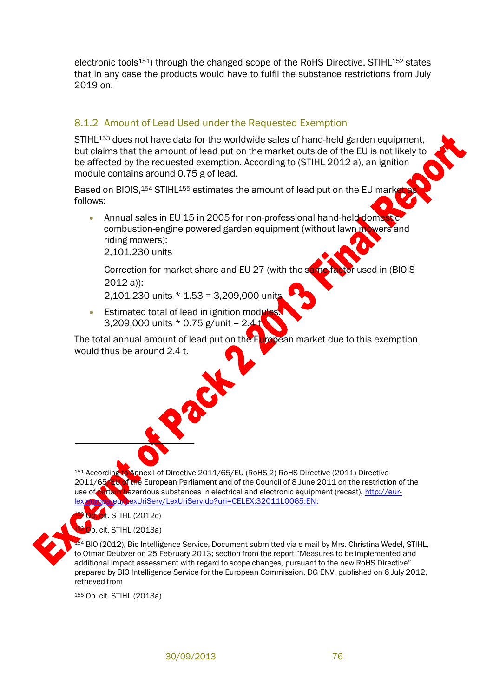electronic tools<sup>151</sup>) through the changed scope of the RoHS Directive. STIHL<sup>152</sup> states that in any case the products would have to fulfil the substance restrictions from July 2019 on.

## 8.1.2 Amount of Lead Used under the Requested Exemption

STIHL<sup>153</sup> does not have data for the worldwide sales of hand-held garden equipment, but claims that the amount of lead put on the market outside of the EU is not likely to be affected by the requested exemption. According to (STIHL 2012 a), an ignition module contains around 0.75 g of lead.

Based on BIOIS, 154 STIHL 155 estimates the amount of lead put on the EU market follows:

Annual sales in EU 15 in 2005 for non-professional hand-held domestic combustion-engine powered garden equipment (without lawn mowers and riding mowers):

2,101,230 units

Correction for market share and EU 27 (with the same factor used in (BIOIS 2012 a)):

2,101,230 units \* 1.53 = 3,209,000 units

Estimated total of lead in ignition module 3,209,000 units \* 0.75 g/unit = 2.4 t

The total annual amount of lead put on the European market due to this exemption would thus be around 2.4 t.

<sup>151</sup> According to Annex I of Directive 2011/65/EU (RoHS 2) RoHS Directive (2011) Directive 2011/65/EU of the European Parliament and of the Council of 8 June 2011 on the restriction of the use of certain hazardous substances in electrical and electronic equipment (recast), [http://eur](http://eur-lex.europa.eu/LexUriServ/LexUriServ.do?uri=CELEX%3A32011L0065%3AEN)exUriServ/LexUriServ.do?uri=CELEX:32011L0065:EN:

it. STIHL (2012c)

p. cit. STIHL (2013a)

<sup>54</sup> BIO (2012), Bio Intelligence Service, Document submitted via e-mail by Mrs. Christina Wedel, STIHL, to Otmar Deubzer on 25 February 2013; section from the report "Measures to be implemented and additional impact assessment with regard to scope changes, pursuant to the new RoHS Directive" prepared by BIO Intelligence Service for the European Commission, DG ENV, published on 6 July 2012, retrieved from

<sup>155</sup> Op. cit. STIHL (2013a)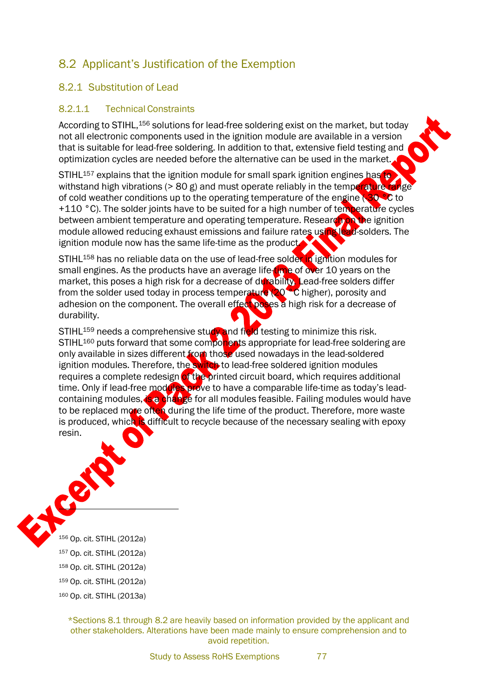# <span id="page-8-0"></span>8.2 Applicant's Justification of the Exemption

## <span id="page-8-1"></span>8.2.1 Substitution of Lead

### <span id="page-8-2"></span>8.2.1.1 Technical Constraints

According to STIHL, 156 solutions for lead-free soldering exist on the market, but today not all electronic components used in the ignition module are available in a version that is suitable for lead-free soldering. In addition to that, extensive field testing and optimization cycles are needed before the alternative can be used in the market.

STIHL<sup>157</sup> explains that the ignition module for small spark ignition engines has to withstand high vibrations ( $> 80$  g) and must operate reliably in the temperature range of cold weather conditions up to the operating temperature of the engine ( $30$  °C to +110 °C). The solder joints have to be suited for a high number of temperature cycles between ambient temperature and operating temperature. Research on the ignition module allowed reducing exhaust emissions and failure rates using lead-solders. The ignition module now has the same life-time as the product

STIHL<sup>158</sup> has no reliable data on the use of lead-free solder in ignition modules for small engines. As the products have an average life-time of over 10 years on the market, this poses a high risk for a decrease of durability. Lead-free solders differ from the solder used today in process temperature (20<sup>o</sup>C higher), porosity and adhesion on the component. The overall effect poses a high risk for a decrease of durability.

STIHL<sup>159</sup> needs a comprehensive study and field testing to minimize this risk. STIHL<sup>160</sup> puts forward that some components appropriate for lead-free soldering are only available in sizes different from those used nowadays in the lead-soldered ignition modules. Therefore, the switch to lead-free soldered ignition modules requires a complete redesign of the printed circuit board, which requires additional time. Only if lead-free modules prove to have a comparable life-time as today's leadcontaining modules, is a change for all modules feasible. Failing modules would have to be replaced more often during the life time of the product. Therefore, more waste is produced, which is difficult to recycle because of the necessary sealing with epoxy resin.



\*Sections 8.1 through 8.2 are heavily based on information provided by the applicant and other stakeholders. Alterations have been made mainly to ensure comprehension and to avoid repetition.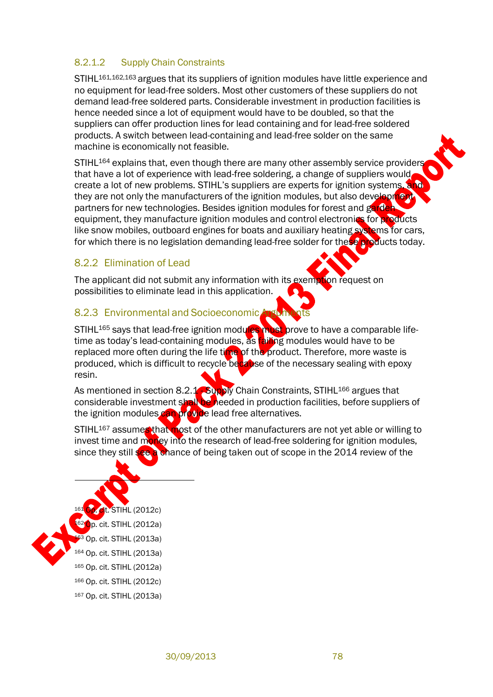## <span id="page-9-0"></span>8.2.1.2 Supply Chain Constraints

STIHL<sup>161,162,163</sup> argues that its suppliers of ignition modules have little experience and no equipment for lead-free solders. Most other customers of these suppliers do not demand lead-free soldered parts. Considerable investment in production facilities is hence needed since a lot of equipment would have to be doubled, so that the suppliers can offer production lines for lead containing and for lead-free soldered products. A switch between lead-containing and lead-free solder on the same machine is economically not feasible.

STIHL<sup>164</sup> explains that, even though there are many other assembly service providers that have a lot of experience with lead-free soldering, a change of suppliers would create a lot of new problems. STIHL's suppliers are experts for ignition systems, and they are not only the manufacturers of the ignition modules, but also development partners for new technologies. Besides ignition modules for forest and garden equipment, they manufacture ignition modules and control electronics for products like snow mobiles, outboard engines for boats and auxiliary heating systems for cars, for which there is no legislation demanding lead-free solder for these products today.

### 8.2.2 Elimination of Lead

The applicant did not submit any information with its exemption request on possibilities to eliminate lead in this application.

### 8.2.3 Environmental and Socioeconomic Argum

STIHL<sup>165</sup> says that lead-free ignition modules must prove to have a comparable lifetime as today's lead-containing modules, as **failing** modules would have to be replaced more often during the life time of the product. Therefore, more waste is produced, which is difficult to recycle because of the necessary sealing with epoxy resin.

As mentioned in section [8.2.1](#page-8-1) - Supply Chain [Constraints,](#page-9-0) STIHL<sup>166</sup> argues that considerable investment shall be needed in production facilities, before suppliers of the ignition modules can provide lead free alternatives.

STIHL<sup>167</sup> assumes that most of the other manufacturers are not yet able or willing to invest time and money into the research of lead-free soldering for ignition modules, since they still see a chance of being taken out of scope in the 2014 review of the

# STIHL (2012c)  $\bullet$ p. cit. STIHL (2012a)  $\frac{33}{1}$  Op. cit. STIHL (2013a) <sup>164</sup> Op. cit. STIHL (2013a) <sup>165</sup> Op. cit. STIHL (2012a) <sup>166</sup> Op. cit. STIHL (2012c) <sup>167</sup> Op. cit. STIHL (2013a)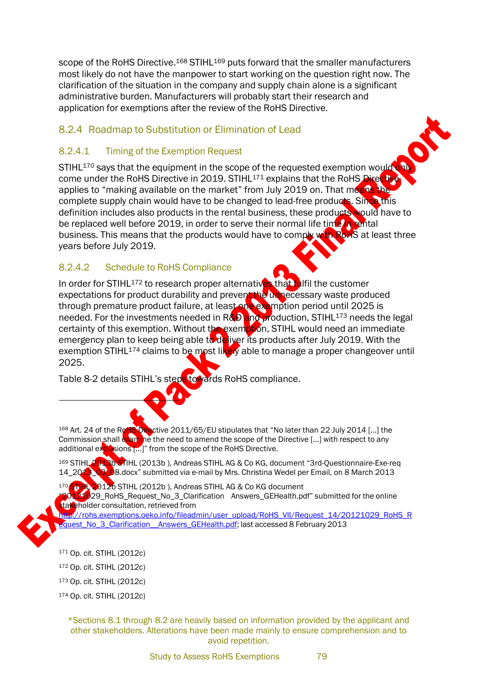scope of the RoHS Directive.<sup>168</sup> STIHL<sup>169</sup> puts forward that the smaller manufacturers most likely do not have the manpower to start working on the question right now. The clarification of the situation in the company and supply chain alone is a significant administrative burden. Manufacturers will probably start their research and application for exemptions after the review of the RoHS Directive.

## 8.2.4 Roadmap to Substitution or Elimination of Lead

### 8.2.4.1 Timing of the Exemption Request

STIHL<sup>170</sup> says that the equipment in the scope of the requested exemption would only come under the RoHS Directive in 2019. STIHL<sup>171</sup> explains that the RoHS Directive applies to "making available on the market" from July 2019 on. That means the complete supply chain would have to be changed to lead-free products. Since this definition includes also products in the rental business, these products would have to be replaced well before 2019, in order to serve their normal life time in rental business. This means that the products would have to comply with RoHS at least three years before July 2019.

## 8.2.4.2 Schedule to RoHS Compliance

In order for STIHL<sup>172</sup> to research proper alternatives that fulfil the customer expectations for product durability and prevent the unnecessary waste produced through premature product failure, at least one exemption period until 2025 is needed. For the investments needed in R&D and production, STIHL<sup>173</sup> needs the legal certainty of this exemption. Without the exemption, STIHL would need an immediate emergency plan to keep being able to deliver its products after July 2019. With the exemption STIHL<sup>174</sup> claims to be most likely able to manage a proper changeover until 2025.

[Table](#page-11-0) 8-2 details STIHL's steps towards RoHS compliance.

<sup>168</sup> Art. 24 of the R**oHS Dire**ctive 2011/65/EU stipulates that "No later than 22 July 2014 […] the Commission shall examine the need to amend the scope of the Directive [...] with respect to any additional exclusions [...]" from the scope of the RoHS Directive.

<sup>169</sup> STIHL 2013b STIHL (2013b ), Andreas STIHL AG & Co KG, document "3rd-Questionnaire-Exe-req 14\_2013\_03\_08.docx" submitted via e-mail by Mrs. Christina Wedel per Email, on 8 March 2013

170 STIHL 2012b STIHL (2012b), Andreas STIHL AG & Co KG document 20121029\_RoHS\_Request\_No\_3\_Clarification Answers\_GEHealth.pdf" submitted for the online stakeholder consultation, retrieved from

[http://rohs.exemptions.oeko.info/fileadmin/user\\_upload/RoHS\\_VII/Request\\_14/20121029\\_RoHS\\_R](http://rohs.exemptions.oeko.info/fileadmin/user_upload/RoHS_VII/Request_14/20121029_RoHS_Request_No_3_Clarification__Answers_GEHealth.pdf)  [equest\\_No\\_3\\_Clarification\\_\\_Answers\\_GEHealth.pdf;](http://rohs.exemptions.oeko.info/fileadmin/user_upload/RoHS_VII/Request_14/20121029_RoHS_Request_No_3_Clarification__Answers_GEHealth.pdf) last accessed 8 February 2013



<sup>171</sup> Op. cit. STIHL (2012c)

<sup>172</sup> Op. cit. STIHL (2012c)

<sup>173</sup> Op. cit. STIHL (2012c)

\*Sections 8.1 through 8.2 are heavily based on information provided by the applicant and other stakeholders. Alterations have been made mainly to ensure comprehension and to avoid repetition.

<sup>174</sup> Op. cit. STIHL (2012c)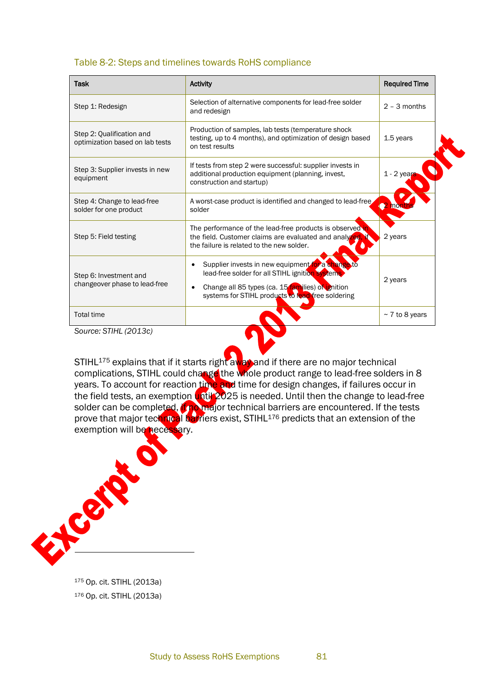#### <span id="page-11-0"></span>Table 8-2: Steps and timelines towards RoHS compliance

| <b>Task</b>                                                  | <b>Activity</b>                                                                                                                                                                                                              | <b>Required Time</b> |
|--------------------------------------------------------------|------------------------------------------------------------------------------------------------------------------------------------------------------------------------------------------------------------------------------|----------------------|
| Step 1: Redesign                                             | Selection of alternative components for lead-free solder<br>and redesign                                                                                                                                                     | $2 - 3$ months       |
| Step 2: Qualification and<br>optimization based on lab tests | Production of samples, lab tests (temperature shock<br>testing, up to 4 months), and optimization of design based<br>on test results                                                                                         | 1.5 years            |
| Step 3: Supplier invests in new<br>equipment                 | If tests from step 2 were successful: supplier invests in<br>additional production equipment (planning, invest,<br>construction and startup)                                                                                 | $1 - 2$ years        |
| Step 4: Change to lead-free<br>solder for one product        | A worst-case product is identified and changed to lead-free<br>solder                                                                                                                                                        | 2 month              |
| Step 5: Field testing                                        | The performance of the lead-free products is observed in<br>the field. Customer claims are evaluated and analyzed,<br>the failure is related to the new solder.                                                              | 2 years              |
| Step 6: Investment and<br>changeover phase to lead-free      | Supplier invests in new equipment for a change to<br>lead-free solder for all STIHL ignition systems.<br>Change all 85 types (ca. 15 families) of ignition<br>$\bullet$<br>systems for STIHL products to lead-free soldering | 2 years              |
| <b>Total time</b>                                            |                                                                                                                                                                                                                              | $\sim$ 7 to 8 years  |

*Source: STIHL (2013c)*

STIHL<sup>175</sup> explains that if it starts right away and if there are no major technical complications, STIHL could change the whole product range to lead-free solders in 8 years. To account for reaction time and time for design changes, if failures occur in the field tests, an exemption **until 20**25 is needed. Until then the change to lead-free solder can be completed, if no major technical barriers are encountered. If the tests prove that major technical barriers exist, STIHL<sup>176</sup> predicts that an extension of the exemption will be necessary.



<sup>175</sup> Op. cit. STIHL (2013a) <sup>176</sup> Op. cit. STIHL (2013a)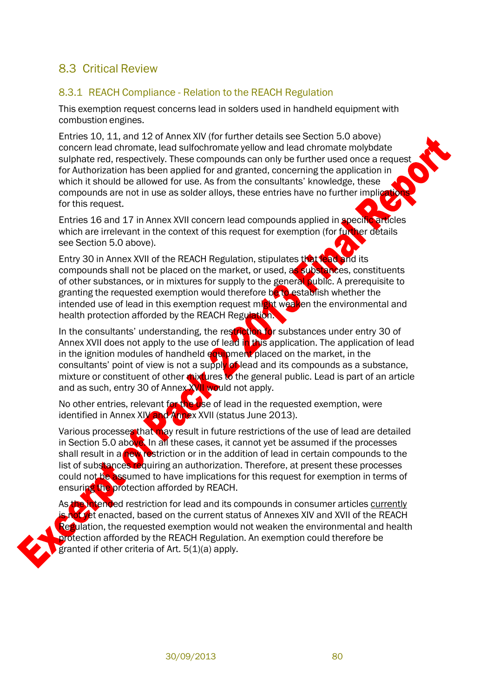# 8.3 Critical Review

### 8.3.1 REACH Compliance - Relation to the REACH Regulation

This exemption request concerns lead in solders used in handheld equipment with combustion engines.

Entries 10, 11, and 12 of Annex XIV (for further details see Section 5.0 above) concern lead chromate, lead sulfochromate yellow and lead chromate molybdate sulphate red, respectively. These compounds can only be further used once a reques for Authorization has been applied for and granted, concerning the application in which it should be allowed for use. As from the consultants' knowledge, these compounds are not in use as solder alloys, these entries have no further implications. for this request.  $\bullet$ 

Entries 16 and 17 in Annex XVII concern lead compounds applied in specific articles which are irrelevant in the context of this request for exemption (for further details see Section 5.0 above).

Entry 30 in Annex XVII of the REACH Regulation, stipulates that lead and its compounds shall not be placed on the market, or used, as substances, constituents of other substances, or in mixtures for supply to the general public. A prerequisite to granting the requested exemption would therefore be to establish whether the intended use of lead in this exemption request micht weaken the environmental and health protection afforded by the REACH Regulation.

In the consultants' understanding, the restriction for substances under entry 30 of Annex XVII does not apply to the use of lead in this application. The application of lead in the ignition modules of handheld  $\epsilon$  wipment placed on the market, in the consultants' point of view is not a supply of lead and its compounds as a substance, mixture or constituent of other mixtures to the general public. Lead is part of an article and as such, entry 30 of Annex XVII would not apply.

No other entries, relevant for the use of lead in the requested exemption, were identified in Annex XIV and Annex XVII (status June 2013).

Various processes that may result in future restrictions of the use of lead are detailed in Section 5.0 above. In all these cases, it cannot yet be assumed if the processes shall result in a new restriction or in the addition of lead in certain compounds to the list of substances requiring an authorization. Therefore, at present these processes could not be assumed to have implications for this request for exemption in terms of ensuring the protection afforded by REACH.

As the intended restriction for lead and its compounds in consumer articles currently is not yet enacted, based on the current status of Annexes XIV and XVII of the REACH Regulation, the requested exemption would not weaken the environmental and health protection afforded by the REACH Regulation. An exemption could therefore be granted if other criteria of Art. 5(1)(a) apply.

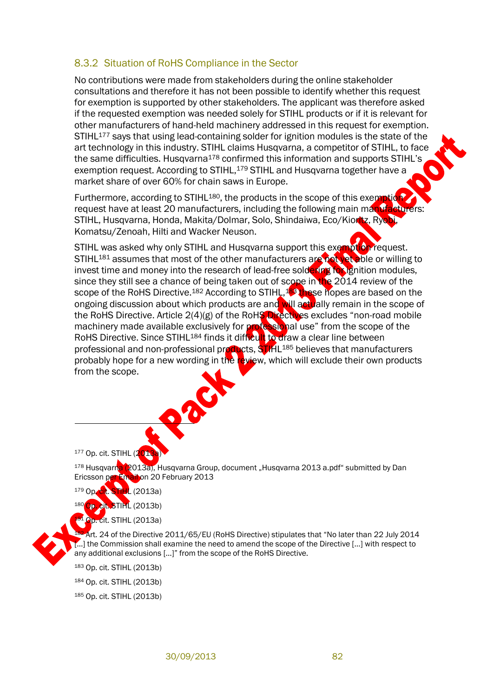### 8.3.2 Situation of RoHS Compliance in the Sector

No contributions were made from stakeholders during the online stakeholder consultations and therefore it has not been possible to identify whether this request for exemption is supported by other stakeholders. The applicant was therefore asked if the requested exemption was needed solely for STIHL products or if it is relevant for other manufacturers of hand-held machinery addressed in this request for exemption. STIHL<sup>177</sup> says that using lead-containing solder for ignition modules is the state of the art technology in this industry. STIHL claims Husqvarna, a competitor of STIHL, to face the same difficulties. Husqvarna<sup>178</sup> confirmed this information and supports STIHL's exemption request. According to STIHL,<sup>179</sup> STIHL and Husqvarna together have a market share of over 60% for chain saws in Europe.

Furthermore, according to STIHL<sup>180</sup>, the products in the scope of this exemption request have at least 20 manufacturers, including the following main manufacturers: STIHL, Husqvarna, Honda, Makita/Dolmar, Solo, Shindaiwa, Eco/Kioritz, Ryobi, Komatsu/Zenoah, Hilti and Wacker Neuson.

STIHL was asked why only STIHL and Husqvarna support this exemption request. STIHL<sup>181</sup> assumes that most of the other manufacturers are not yet able or willing to invest time and money into the research of lead-free soldering for ignition modules, since they still see a chance of being taken out of scope in the 2014 review of the scope of the RoHS Directive.<sup>182</sup> According to STIHL,<sup>183</sup> these hopes are based on the ongoing discussion about which products are and will actually remain in the scope of the RoHS Directive. Article 2(4)(g) of the RoHS Directives excludes "non-road mobile machinery made available exclusively for **professional use**" from the scope of the RoHS Directive. Since STIHL<sup>184</sup> finds it difficult to draw a clear line between professional and non-professional products, STIHL<sup>185</sup> believes that manufacturers probably hope for a new wording in the review, which will exclude their own products from the scope.

 $177$  Op. cit. STIHL (2013

<sup>178</sup> Husqvarna (2013a), Husqvarna Group, document "Husqvarna 2013 a.pdf" submitted by Dan Ericsson per Email on 20 February 2013

 $1/2013a$ 

 $(2013b)$ 

**Qp. cit. STIHL (2013a)** 

<sup>182</sup> Art. 24 of the Directive 2011/65/EU (RoHS Directive) stipulates that "No later than 22 July 2014 [...] the Commission shall examine the need to amend the scope of the Directive [...] with respect to any additional exclusions […]" from the scope of the RoHS Directive.

<sup>183</sup> Op. cit. STIHL (2013b) <sup>184</sup> Op. cit. STIHL (2013b) <sup>185</sup> Op. cit. STIHL (2013b)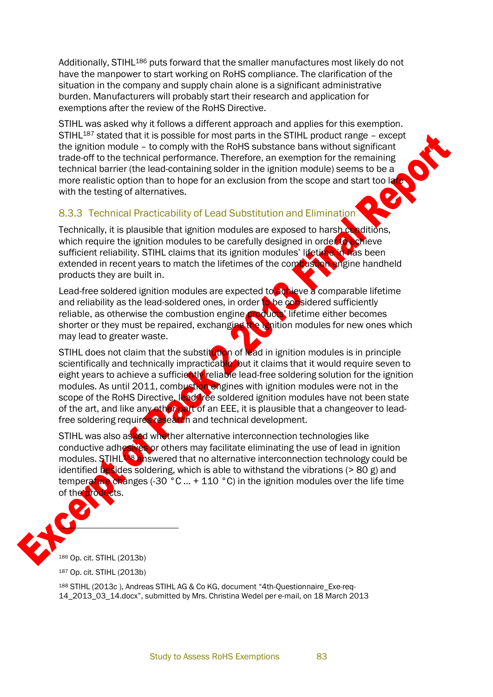Additionally, STIHL<sup>186</sup> puts forward that the smaller manufactures most likely do not have the manpower to start working on RoHS compliance. The clarification of the situation in the company and supply chain alone is a significant administrative burden. Manufacturers will probably start their research and application for exemptions after the review of the RoHS Directive.

STIHL was asked why it follows a different approach and applies for this exemption.  $STIHL^{187}$  stated that it is possible for most parts in the STIHL product range – except the ignition module – to comply with the RoHS substance bans without significant trade-off to the technical performance. Therefore, an exemption for the remaining technical barrier (the lead-containing solder in the ignition module) seems to be a more realistic option than to hope for an exclusion from the scope and start too latewith the testing of alternatives.

## 8.3.3 Technical Practicability of Lead Substitution and Elimination

Technically, it is plausible that ignition modules are exposed to harsh conditions, which require the ignition modules to be carefully designed in order to achieve sufficient reliability. STIHL claims that its ignition modules' lifetime in has been extended in recent years to match the lifetimes of the compustion engine handheld products they are built in.

Lead-free soldered ignition modules are expected to achieve a comparable lifetime and reliability as the lead-soldered ones, in order to be considered sufficiently reliable, as otherwise the combustion engine products' lifetime either becomes shorter or they must be repaired, exchanging the ignition modules for new ones which may lead to greater waste.

STIHL does not claim that the substitution of lead in ignition modules is in principle scientifically and technically impracticable, but it claims that it would require seven to eight years to achieve a sufficiently reliable lead-free soldering solution for the ignition modules. As until 2011, combustion engines with ignition modules were not in the scope of the RoHS Directive, lead-free soldered ignition modules have not been state of the art, and like any other part of an EEE, it is plausible that a changeover to leadfree soldering requires research and technical development.

STIHL was also asked whether alternative interconnection technologies like conductive adhesives or others may facilitate eliminating the use of lead in ignition modules. STIHL<sup>188</sup> answered that no alternative interconnection technology could be identified besides soldering, which is able to withstand the vibrations ( $> 80$  g) and temperature changes (-30 °C ... + 110 °C) in the ignition modules over the life time of the products.



<sup>186</sup> Op. cit. STIHL (2013b)

<sup>187</sup> Op. cit. STIHL (2013b)

<sup>188</sup> STIHL (2013c ), Andreas STIHL AG & Co KG, document "4th-Questionnaire\_Exe-req-14\_2013\_03\_14.docx", submitted by Mrs. Christina Wedel per e-mail, on 18 March 2013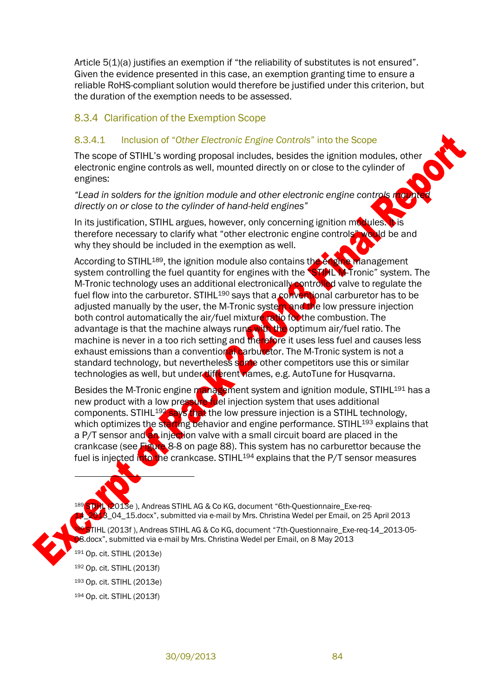Article 5(1)(a) justifies an exemption if "the reliability of substitutes is not ensured". Given the evidence presented in this case, an exemption granting time to ensure a reliable RoHS-compliant solution would therefore be justified under this criterion, but the duration of the exemption needs to be assessed.

### 8.3.4 Clarification of the Exemption Scope

#### 8.3.4.1 Inclusion of "*Other Electronic Engine Controls*" into the Scope

The scope of STIHL's wording proposal includes, besides the ignition modules, other electronic engine controls as well, mounted directly on or close to the cylinder of engines:

*"Lead in solders for the ignition module and other electronic engine controls mounted directly on or close to the cylinder of hand-held engines"*

In its justification, STIHL argues, however, only concerning ignition modules. It is therefore necessary to clarify what "other electronic engine controls" would be and why they should be included in the exemption as well.

According to STIHL<sup>189</sup>, the ignition module also contains the engine management system controlling the fuel quantity for engines with the **STIHL M-Tronic**" system. The M-Tronic technology uses an additional electronically controlled valve to regulate the fuel flow into the carburetor. STIHL<sup>190</sup> says that a conventional carburetor has to be adjusted manually by the user, the M-Tronic system and the low pressure injection both control automatically the air/fuel mixture ratio for the combustion. The advantage is that the machine always runs with the optimum air/fuel ratio. The machine is never in a too rich setting and therefore it uses less fuel and causes less exhaust emissions than a conventional carburetor. The M-Tronic system is not a standard technology, but nevertheless some other competitors use this or similar technologies as well, but under different names, e.g. AutoTune for Husqvarna.

Besides the M-Tronic engine management system and ignition module, STIHL<sup>191</sup> has a new product with a low pressure fuel injection system that uses additional components. STIHL<sup>192</sup> says that the low pressure injection is a STIHL technology, which optimizes the starting behavior and engine performance. STIHL<sup>193</sup> explains that a P/T sensor and an injection valve with a small circuit board are placed in the crankcase (see Figure 8-8 on page [88\)](#page-20-0). This system has no carburettor because the fuel is injected into the crankcase. STIHL<sup>194</sup> explains that the P/T sensor measures

STIHL (2013e), Andreas STIHL AG & Co KG, document "6th-Questionnaire\_Exe-req- $3$  04\_15.docx", submitted via e-mail by Mrs. Christina Wedel per Email, on 25 April 2013

<sup>190</sup> STIHL (2013f ), Andreas STIHL AG & Co KG, document "7th-Questionnaire\_Exe-req-14\_2013-05- 08.docx", submitted via e-mail by Mrs. Christina Wedel per Email, on 8 May 2013

 Op. cit. STIHL (2013e) Op. cit. STIHL (2013f) Op. cit. STIHL (2013e) Op. cit. STIHL (2013f)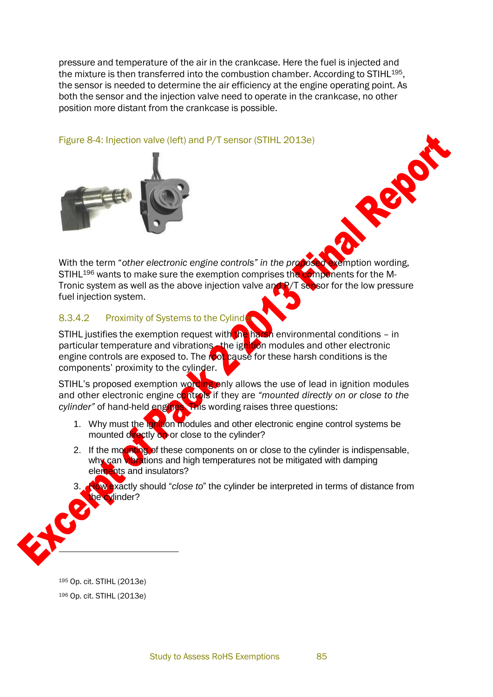pressure and temperature of the air in the crankcase. Here the fuel is injected and the mixture is then transferred into the combustion chamber. According to STIHL195, the sensor is needed to determine the air efficiency at the engine operating point. As both the sensor and the injection valve need to operate in the crankcase, no other position more distant from the crankcase is possible.



Figure 8-4: Injection valve (left) and P/T sensor (STIHL 2013e)

With the term "*other electronic engine controls" in the proposed* exemption wording, STIHL<sup>196</sup> wants to make sure the exemption comprises the components for the M-Tronic system as well as the above injection valve and R/T sensor for the low pressure fuel injection system.

Rep

## 8.3.4.2 Proximity of Systems to the Cylinder

STIHL justifies the exemption request with the harsh environmental conditions - in particular temperature and vibrations - the ignition modules and other electronic engine controls are exposed to. The root cause for these harsh conditions is the components' proximity to the cylinder.

STIHL's proposed exemption wording only allows the use of lead in ignition modules and other electronic engine controls if they are *"mounted directly on or close to the* cylinder" of hand-held engines. This wording raises three questions:

- 1. Why must the ignition modules and other electronic engine control systems be mounted directly on or close to the cylinder?
- 2. If the mounting of these components on or close to the cylinder is indispensable, why can vibrations and high temperatures not be mitigated with damping elements and insulators?
- 3. How exactly should "*close to*" the cylinder be interpreted in terms of distance from he cylinder?



<sup>195</sup> Op. cit. STIHL (2013e) <sup>196</sup> Op. cit. STIHL (2013e)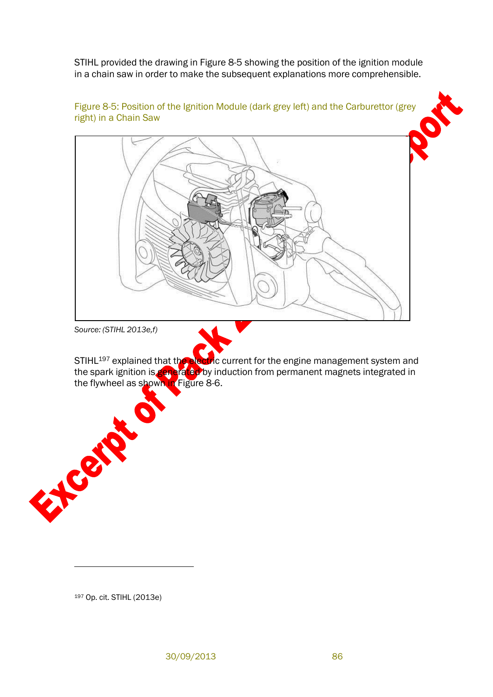STIHL provided the drawing in [Figure](#page-18-0) 8-5 showing the position of the ignition module in a chain saw in order to make the subsequent explanations more comprehensible.

<span id="page-18-0"></span>

Figure 8-5: Position of the Ignition Module (dark grey left) and the Carburettor (grey

*Source: (STIHL 2013e,f)*

STIHL<sup>197</sup> explained that the electric current for the engine management system and the spark ignition is generated by induction from permanent magnets integrated in the flywheel as shown in Figure 8-6.

<sup>197</sup> Op. cit. STIHL (2013e)

E Cale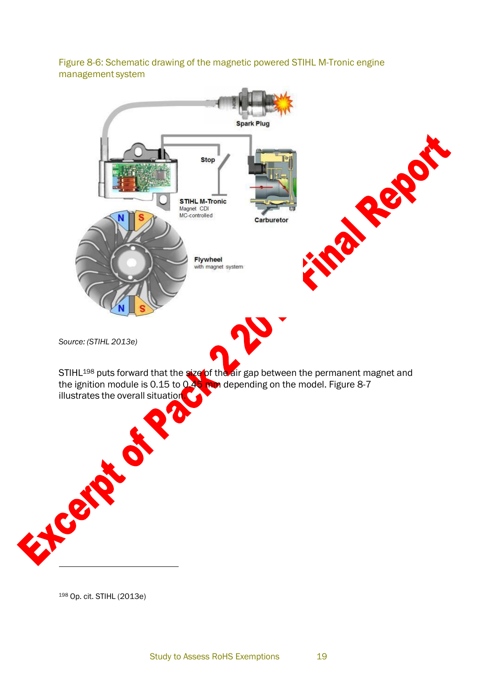Figure 8-6: Schematic drawing of the magnetic powered STIHL M-Tronic engine management system



<sup>198</sup> Op. cit. STIHL (2013e)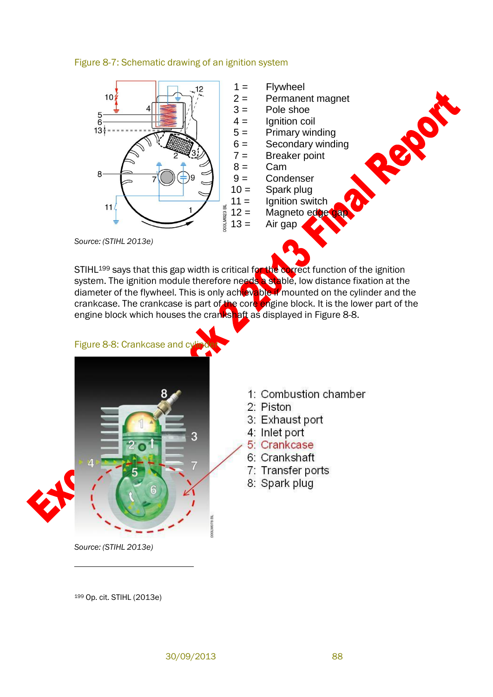



- $1 =$  Flywheel
- 2 = Permanent magnet
- $3 =$  Pole shoe
- $4 =$  Ignition coil
- $5 =$  Primary winding
- $6 =$  Secondary winding

Report

- $7 =$ Breaker point
- $8 =$  Cam<br> $9 =$  Cond
	- Condenser
- $10 =$  Spark plug
- $11 =$  Ignition switch
- $12 =$  Magneto edges

*Source: (STIHL 2013e)*

STIHL<sup>199</sup> says that this gap width is critical for the correct function of the ignition system. The ignition module therefore needs a stable, low distance fixation at the diameter of the flywheel. This is only achievable if mounted on the cylinder and the crankcase. The crankcase is part of the core engine block. It is the lower part of the engine block which houses the crankshaft as displayed in [Figure](#page-20-0) 8-8.

<span id="page-20-0"></span>

- 1: Combustion chamber
- 2. Piston
- 3: Exhaust port
- 4: Inlet port
- 5: Crankcase
- 6: Crankshaft
- 7: Transfer ports
- 8: Spark plug

*Source: (STIHL 2013e)*

<sup>199</sup> Op. cit. STIHL (2013e)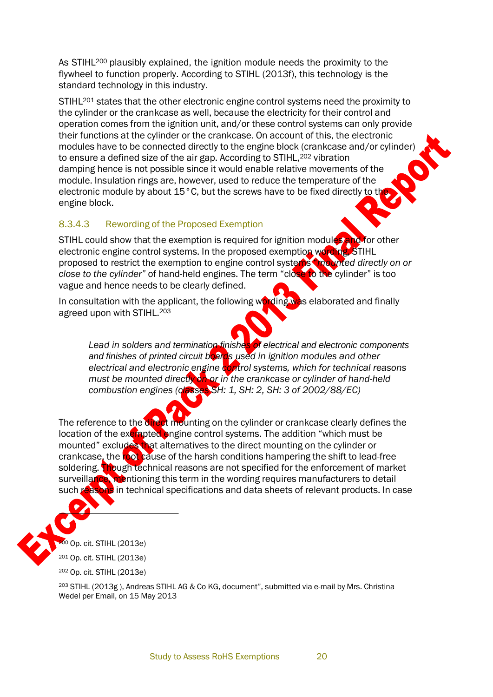As STIHL<sup>200</sup> plausibly explained, the ignition module needs the proximity to the flywheel to function properly. According to STIHL (2013f), this technology is the standard technology in this industry.

STIHL<sup>201</sup> states that the other electronic engine control systems need the proximity to the cylinder or the crankcase as well, because the electricity for their control and operation comes from the ignition unit, and/or these control systems can only provide their functions at the cylinder or the crankcase. On account of this, the electronic modules have to be connected directly to the engine block (crankcase and/or cylinder) to ensure a defined size of the air gap. According to STIHL,<sup>202</sup> vibration damping hence is not possible since it would enable relative movements of the module. Insulation rings are, however, used to reduce the temperature of the electronic module by about 15°C, but the screws have to be fixed directly to the engine block.

### 8.3.4.3 Rewording of the Proposed Exemption

STIHL could show that the exemption is required for ignition modules and for other electronic engine control systems. In the proposed exemption wording, STIHL proposed to restrict the exemption to engine control systems "*mounted directly on or close to the cylinder"* of hand-held engines. The term "close to the cylinder" is too vague and hence needs to be clearly defined.

In consultation with the applicant, the following wording was elaborated and finally agreed upon with STIHL.<sup>203</sup>

<span id="page-21-0"></span>*Lead in solders and termination finishes of electrical and electronic components and finishes of printed circuit boards used in ignition modules and other electrical and electronic engine control systems, which for technical reasons must be mounted directly on or in the crankcase or cylinder of hand-held combustion engines (classes SH: 1, SH: 2, SH: 3 of 2002/88/EC)*

The reference to the direct mounting on the cylinder or crankcase clearly defines the location of the exempted engine control systems. The addition "which must be mounted" excludes that alternatives to the direct mounting on the cylinder or crankcase, the root cause of the harsh conditions hampering the shift to lead-free soldering. Though technical reasons are not specified for the enforcement of market surveillance, mentioning this term in the wording requires manufacturers to detail such reasons in technical specifications and data sheets of relevant products. In case

<sup>io</sup> Op. cit. STIHL (2013e) <sup>201</sup> Op. cit. STIHL (2013e) <sup>202</sup> Op. cit. STIHL (2013e)

<sup>203</sup> STIHL (2013g ), Andreas STIHL AG & Co KG, document", submitted via e-mail by Mrs. Christina Wedel per Email, on 15 May 2013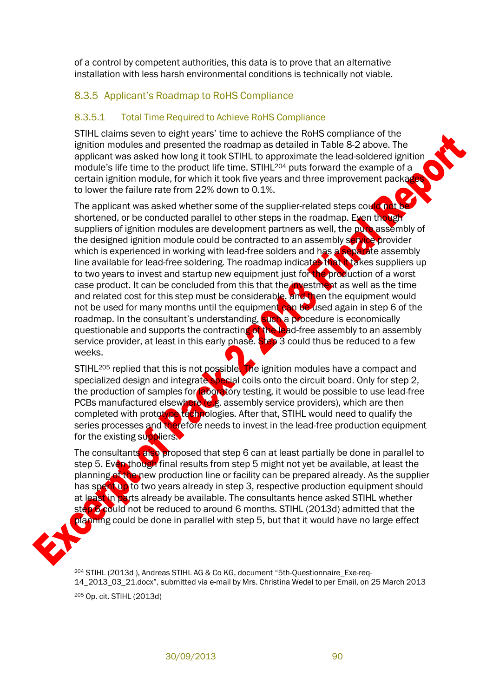of a control by competent authorities, this data is to prove that an alternative installation with less harsh environmental conditions is technically not viable.

## 8.3.5 Applicant's Roadmap to RoHS Compliance

### 8.3.5.1 Total Time Required to Achieve RoHS Compliance

STIHL claims seven to eight years' time to achieve the RoHS compliance of the ignition modules and presented the roadmap as detailed in [Table](#page-11-0) 8-2 above. The applicant was asked how long it took STIHL to approximate the lead-soldered ignition module's life time to the product life time. STIHL<sup>204</sup> puts forward the example of a certain ignition module, for which it took five years and three improvement packad to lower the failure rate from 22% down to 0.1%.

The applicant was asked whether some of the supplier-related steps could not be shortened, or be conducted parallel to other steps in the roadmap. Even though suppliers of ignition modules are development partners as well, the pure assembly of the designed ignition module could be contracted to an assembly service provider which is experienced in working with lead-free solders and has a separate assembly line available for lead-free soldering. The roadmap indicates that it takes suppliers up to two years to invest and startup new equipment just for the production of a worst case product. It can be concluded from this that the investment as well as the time and related cost for this step must be considerable, and then the equipment would not be used for many months until the equipment can be used again in step 6 of the roadmap. In the consultant's understanding, such a procedure is economically questionable and supports the contracting of the lead-free assembly to an assembly service provider, at least in this early phase. Step 3 could thus be reduced to a few weeks.

STIHL<sup>205</sup> replied that this is not possible. The ignition modules have a compact and specialized design and integrate special coils onto the circuit board. Only for step 2, the production of samples for aboratory testing, it would be possible to use lead-free PCBs manufactured elsewhere (e.g. assembly service providers), which are then completed with prototype technologies. After that, STIHL would need to qualify the series processes and therefore needs to invest in the lead-free production equipment for the existing suppliers.

The consultants also proposed that step 6 can at least partially be done in parallel to step 5. Even though final results from step 5 might not yet be available, at least the planning of the new production line or facility can be prepared already. As the supplier has spent up to two years already in step 3, respective production equipment should at least in parts already be available. The consultants hence asked STIHL whether step 6 could not be reduced to around 6 months. STIHL (2013d) admitted that the planning could be done in parallel with step 5, but that it would have no large effect



<sup>204</sup> STIHL (2013d ), Andreas STIHL AG & Co KG, document "5th-Questionnaire\_Exe-req-14\_2013\_03\_21.docx", submitted via e-mail by Mrs. Christina Wedel to per Email, on 25 March 2013 <sup>205</sup> Op. cit. STIHL (2013d)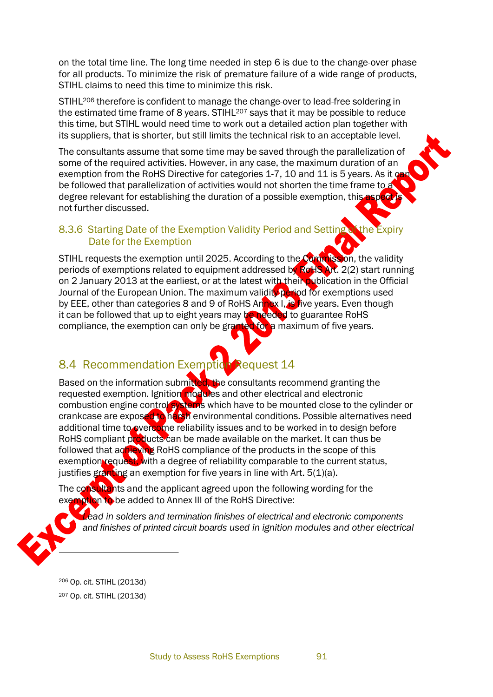on the total time line. The long time needed in step 6 is due to the change-over phase for all products. To minimize the risk of premature failure of a wide range of products, STIHL claims to need this time to minimize this risk.

STIHL<sup>206</sup> therefore is confident to manage the change-over to lead-free soldering in the estimated time frame of 8 years. STIHL<sup>207</sup> says that it may be possible to reduce this time, but STIHL would need time to work out a detailed action plan together with its suppliers, that is shorter, but still limits the technical risk to an acceptable level.

The consultants assume that some time may be saved through the parallelization of some of the required activities. However, in any case, the maximum duration of an exemption from the RoHS Directive for categories 1-7, 10 and 11 is 5 years. As it  $\infty$ be followed that parallelization of activities would not shorten the time frame to a degree relevant for establishing the duration of a possible exemption, this aspect not further discussed.

## 8.3.6 Starting Date of the Exemption Validity Period and Setting Date for the Exemption

STIHL requests the exemption until 2025. According to the Commission, the validity periods of exemptions related to equipment addressed by RoHS Art. 2(2) start running on 2 January 2013 at the earliest, or at the latest with their publication in the Official Journal of the European Union. The maximum validity period for exemptions used by EEE, other than categories 8 and 9 of RoHS Annex I, is five years. Even though it can be followed that up to eight years may be needed to guarantee RoHS compliance, the exemption can only be granted for a maximum of five years.

# 8.4 Recommendation Exemption Request 14

Based on the information submitted, the consultants recommend granting the requested exemption. Ignition modules and other electrical and electronic combustion engine control systems which have to be mounted close to the cylinder or crankcase are exposed to harsh environmental conditions. Possible alternatives need additional time to overcome reliability issues and to be worked in to design before RoHS compliant products can be made available on the market. It can thus be followed that achieving RoHS compliance of the products in the scope of this exemption request, with a degree of reliability comparable to the current status, justifies granting an exemption for five years in line with Art.  $5(1)(a)$ .

The consultants and the applicant agreed upon the following wording for the exemption to be added to Annex III of the RoHS Directive:

*Lead in solders and termination finishes of electrical [and electronic](#page-21-0) components and finishes of printed circuit boards used in [ignition modules](#page-21-0) and other electrical*

<sup>206</sup> Op. cit. STIHL (2013d) <sup>207</sup> Op. cit. STIHL (2013d)